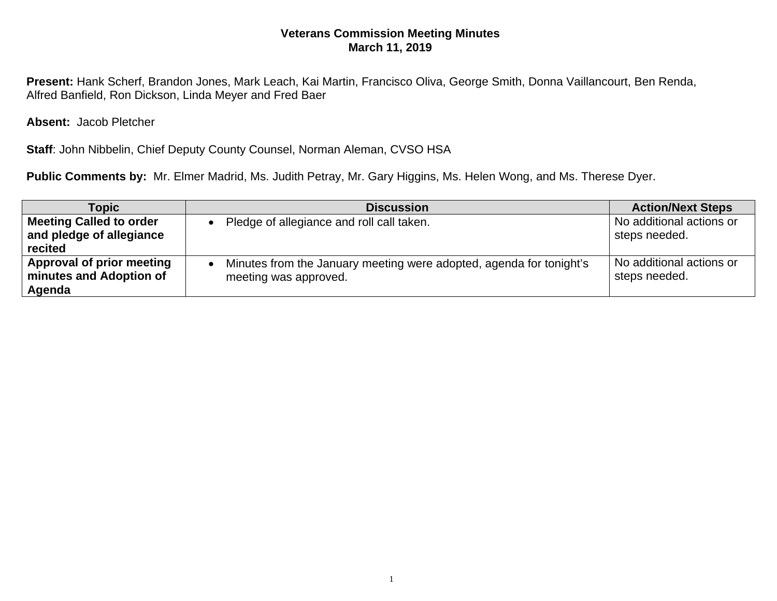## **Veterans Commission Meeting Minutes March 11, 2019**

**Present:** Hank Scherf, Brandon Jones, Mark Leach, Kai Martin, Francisco Oliva, George Smith, Donna Vaillancourt, Ben Renda, Alfred Banfield, Ron Dickson, Linda Meyer and Fred Baer

**Absent:** Jacob Pletcher

**Staff**: John Nibbelin, Chief Deputy County Counsel, Norman Aleman, CVSO HSA

**Public Comments by:** Mr. Elmer Madrid, Ms. Judith Petray, Mr. Gary Higgins, Ms. Helen Wong, and Ms. Therese Dyer.

| Topic                                                          | <b>Discussion</b>                                                                            | <b>Action/Next Steps</b>                  |
|----------------------------------------------------------------|----------------------------------------------------------------------------------------------|-------------------------------------------|
| Meeting Called to order<br>and pledge of allegiance<br>recited | Pledge of allegiance and roll call taken.                                                    | No additional actions or<br>steps needed. |
| Approval of prior meeting<br>minutes and Adoption of<br>Agenda | Minutes from the January meeting were adopted, agenda for tonight's<br>meeting was approved. | No additional actions or<br>steps needed. |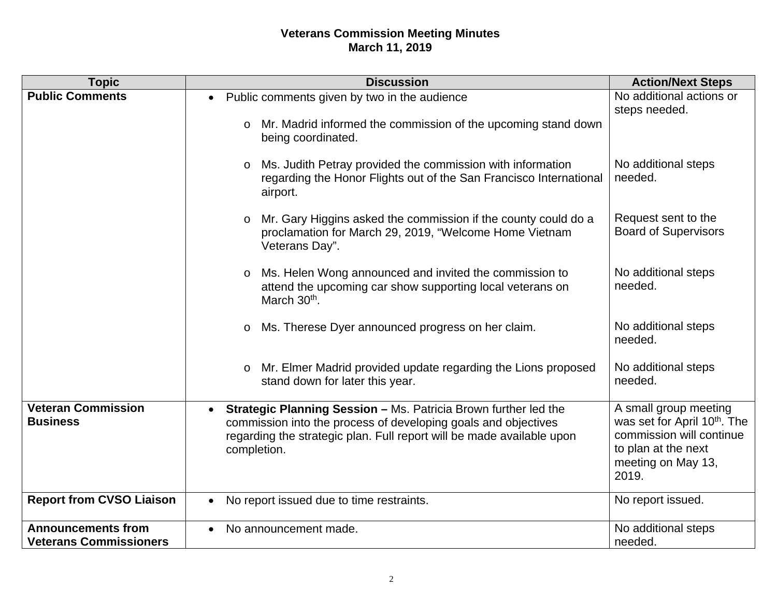## **Veterans Commission Meeting Minutes March 11, 2019**

| <b>Topic</b>                                               | <b>Discussion</b>                                                                                                                                                                                                                      | <b>Action/Next Steps</b>                                                                                                                            |
|------------------------------------------------------------|----------------------------------------------------------------------------------------------------------------------------------------------------------------------------------------------------------------------------------------|-----------------------------------------------------------------------------------------------------------------------------------------------------|
| <b>Public Comments</b>                                     | Public comments given by two in the audience<br>$\bullet$                                                                                                                                                                              | No additional actions or                                                                                                                            |
|                                                            | Mr. Madrid informed the commission of the upcoming stand down<br>$\circ$<br>being coordinated.                                                                                                                                         | steps needed.                                                                                                                                       |
|                                                            | Ms. Judith Petray provided the commission with information<br>$\circ$<br>regarding the Honor Flights out of the San Francisco International<br>airport.                                                                                | No additional steps<br>needed.                                                                                                                      |
|                                                            | Mr. Gary Higgins asked the commission if the county could do a<br>$\circ$<br>proclamation for March 29, 2019, "Welcome Home Vietnam<br>Veterans Day".                                                                                  | Request sent to the<br><b>Board of Supervisors</b>                                                                                                  |
|                                                            | Ms. Helen Wong announced and invited the commission to<br>$\circ$<br>attend the upcoming car show supporting local veterans on<br>March 30th.                                                                                          | No additional steps<br>needed.                                                                                                                      |
|                                                            | Ms. Therese Dyer announced progress on her claim.<br>$\circ$                                                                                                                                                                           | No additional steps<br>needed.                                                                                                                      |
|                                                            | o Mr. Elmer Madrid provided update regarding the Lions proposed<br>stand down for later this year.                                                                                                                                     | No additional steps<br>needed.                                                                                                                      |
| <b>Veteran Commission</b><br><b>Business</b>               | Strategic Planning Session - Ms. Patricia Brown further led the<br>$\bullet$<br>commission into the process of developing goals and objectives<br>regarding the strategic plan. Full report will be made available upon<br>completion. | A small group meeting<br>was set for April 10 <sup>th</sup> . The<br>commission will continue<br>to plan at the next<br>meeting on May 13,<br>2019. |
| <b>Report from CVSO Liaison</b>                            | No report issued due to time restraints.                                                                                                                                                                                               | No report issued.                                                                                                                                   |
| <b>Announcements from</b><br><b>Veterans Commissioners</b> | No announcement made.<br>$\bullet$                                                                                                                                                                                                     | No additional steps<br>needed.                                                                                                                      |